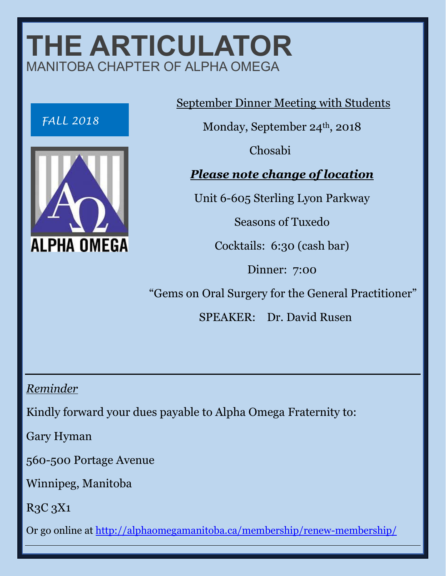## **THE ARTICULATOR**  MANITOBA CHAPTER OF ALPHA OMEGA





September Dinner Meeting with Students

Monday, September 24<sup>th</sup>, 2018

Chosabi

*Please note change of location*

Unit 6-605 Sterling Lyon Parkway

Seasons of Tuxedo

Cocktails: 6:30 (cash bar)

Dinner: 7:00

"Gems on Oral Surgery for the General Practitioner"

SPEAKER: Dr. David Rusen

*Reminder*

Kindly forward your dues payable to Alpha Omega Fraternity to:

Gary Hyman

560-500 Portage Avenue

Winnipeg, Manitoba

R3C 3X1

Or go online at<http://alphaomegamanitoba.ca/membership/renew-membership/>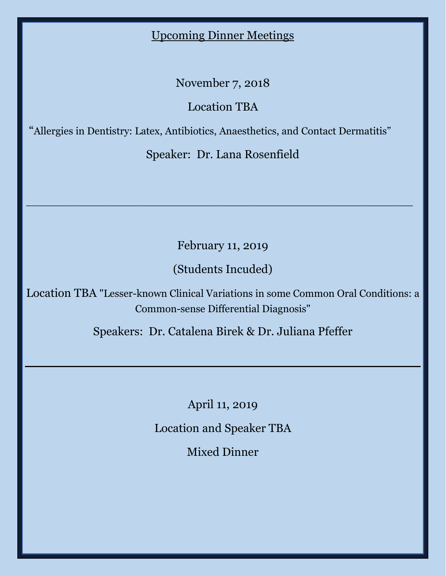## Upcoming Dinner Meetings

November 7, 2018

Location TBA

"Allergies in Dentistry: Latex, Antibiotics, Anaesthetics, and Contact Dermatitis"

Speaker: Dr. Lana Rosenfield

February 11, 2019

\_\_\_\_\_\_\_\_\_\_\_\_\_\_\_\_\_\_\_\_\_\_\_\_\_\_\_\_\_\_\_\_\_\_\_\_\_\_\_\_\_\_\_\_\_\_\_\_\_\_\_\_\_\_\_\_\_\_\_

(Students Incuded)

Location TBA "Lesser-known Clinical Variations in some Common Oral Conditions: a Common-sense Differential Diagnosis"

Speakers: Dr. Catalena Birek & Dr. Juliana Pfeffer

April 11, 2019

Location and Speaker TBA

Mixed Dinner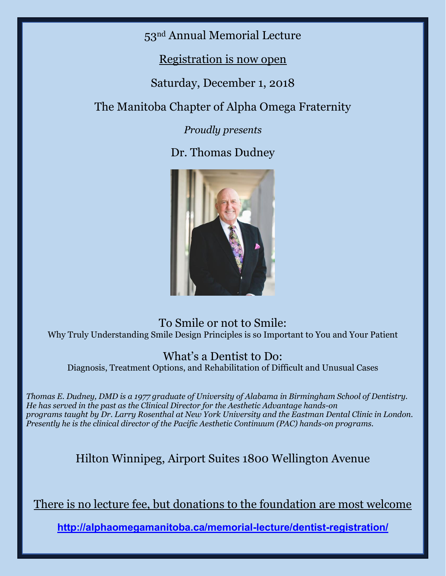53nd Annual Memorial Lecture

Registration is now open

Saturday, December 1, 2018

The Manitoba Chapter of Alpha Omega Fraternity

*Proudly presents*

Dr. Thomas Dudney



To Smile or not to Smile: Why Truly Understanding Smile Design Principles is so Important to You and Your Patient

## What's a Dentist to Do:

Diagnosis, Treatment Options, and Rehabilitation of Difficult and Unusual Cases

*Thomas E. Dudney, DMD is a 1977 graduate of University of Alabama in Birmingham School of Dentistry. He has served in the past as the Clinical Director for the Aesthetic Advantage hands-on programs taught by Dr. Larry Rosenthal at New York University and the Eastman Dental Clinic in London. Presently he is the clinical director of the Pacific Aesthetic Continuum (PAC) hands-on programs.*

Hilton Winnipeg, Airport Suites 1800 Wellington Avenue

There is no lecture fee, but donations to the foundation are most welcome

**http://alphaomegamanitoba.ca/memorial-lecture/dentist-registration/**